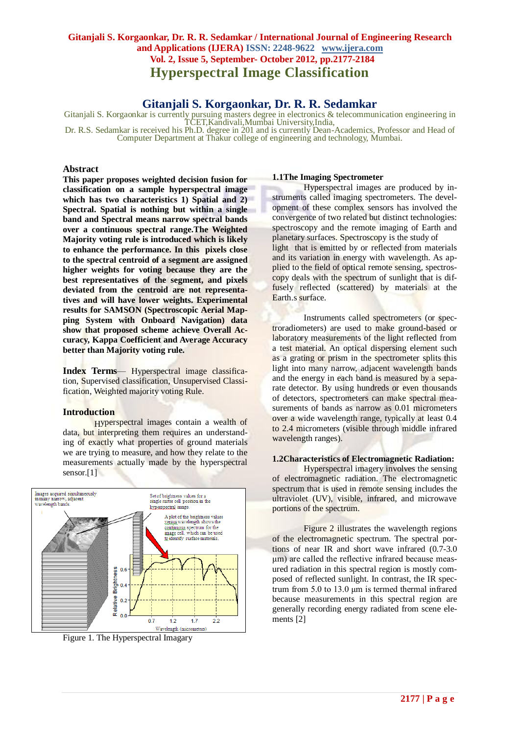# **Gitanjali S. Korgaonkar, Dr. R. R. Sedamkar**

Gitanjali S. Korgaonkar is currently pursuing masters degree in electronics & telecommunication engineering in TCET,Kandivali,Mumbai University,India, Dr. R.S. Sedamkar is received his Ph.D. degree in 201 and is currently Dean-Academics, Professor and Head of Computer Department at Thakur college of engineering and technology, Mumbai.

#### **Abstract**

**This paper proposes weighted decision fusion for classification on a sample hyperspectral image which has two characteristics 1) Spatial and 2) Spectral. Spatial is nothing but within a single band and Spectral means narrow spectral bands over a continuous spectral range.The Weighted Majority voting rule is introduced which is likely to enhance the performance. In this pixels close to the spectral centroid of a segment are assigned higher weights for voting because they are the best representatives of the segment, and pixels deviated from the centroid are not representatives and will have lower weights. Experimental results for SAMSON (Spectroscopic Aerial Mapping System with Onboard Navigation) data show that proposed scheme achieve Overall Accuracy, Kappa Coefficient and Average Accuracy better than Majority voting rule.**

**Index Terms**— Hyperspectral image classification, Supervised classification, Unsupervised Classification, Weighted majority voting Rule.

#### **Introduction**

Hyperspectral images contain a wealth of data, but interpreting them requires an understanding of exactly what properties of ground materials we are trying to measure, and how they relate to the measurements actually made by the hyperspectral sensor. $[1]$ 



Figure 1. The Hyperspectral Imagary

#### **1.1The Imaging Spectrometer**

Hyperspectral images are produced by instruments called imaging spectrometers. The development of these complex sensors has involved the convergence of two related but distinct technologies: spectroscopy and the remote imaging of Earth and planetary surfaces. Spectroscopy is the study of light that is emitted by or reflected from materials and its variation in energy with wavelength. As applied to the field of optical remote sensing, spectroscopy deals with the spectrum of sunlight that is diffusely reflected (scattered) by materials at the Earth.s surface.

Instruments called spectrometers (or spectroradiometers) are used to make ground-based or laboratory measurements of the light reflected from a test material. An optical dispersing element such as a grating or prism in the spectrometer splits this light into many narrow, adjacent wavelength bands and the energy in each band is measured by a separate detector. By using hundreds or even thousands of detectors, spectrometers can make spectral measurements of bands as narrow as 0.01 micrometers over a wide wavelength range, typically at least 0.4 to 2.4 micrometers (visible through middle infrared wavelength ranges).

#### **1.2Characteristics of Electromagnetic Radiation:**

Hyperspectral imagery involves the sensing of electromagnetic radiation. The electromagnetic spectrum that is used in remote sensing includes the ultraviolet (UV), visible, infrared, and microwave portions of the spectrum.

Figure 2 illustrates the wavelength regions of the electromagnetic spectrum. The spectral portions of near IR and short wave infrared (0.7-3.0 μm) are called the reflective infrared because measured radiation in this spectral region is mostly composed of reflected sunlight. In contrast, the IR spectrum from 5.0 to 13.0 μm is termed thermal infrared because measurements in this spectral region are generally recording energy radiated from scene elements [2]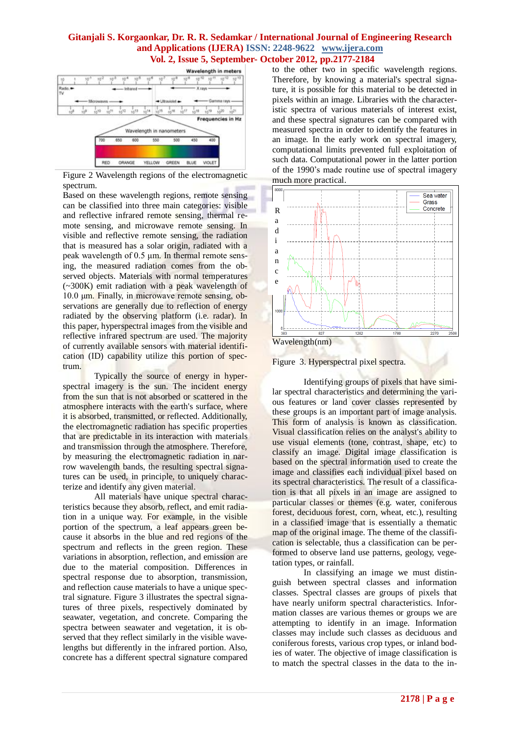

Figure 2 Wavelength regions of the electromagnetic spectrum.

Based on these wavelength regions, remote sensing can be classified into three main categories: visible and reflective infrared remote sensing, thermal remote sensing, and microwave remote sensing. In visible and reflective remote sensing, the radiation that is measured has a solar origin, radiated with a peak wavelength of 0.5 μm. In thermal remote sensing, the measured radiation comes from the observed objects. Materials with normal temperatures (~300K) emit radiation with a peak wavelength of  $10.0 \mu m$ . Finally, in microwave remote sensing, observations are generally due to reflection of energy radiated by the observing platform (i.e. radar). In this paper, hyperspectral images from the visible and reflective infrared spectrum are used. The majority of currently available sensors with material identification (ID) capability utilize this portion of spectrum.

Typically the source of energy in hyperspectral imagery is the sun. The incident energy from the sun that is not absorbed or scattered in the atmosphere interacts with the earth's surface, where it is absorbed, transmitted, or reflected. Additionally, the electromagnetic radiation has specific properties that are predictable in its interaction with materials and transmission through the atmosphere. Therefore, by measuring the electromagnetic radiation in narrow wavelength bands, the resulting spectral signatures can be used, in principle, to uniquely characterize and identify any given material.

All materials have unique spectral characteristics because they absorb, reflect, and emit radiation in a unique way. For example, in the visible portion of the spectrum, a leaf appears green because it absorbs in the blue and red regions of the spectrum and reflects in the green region. These variations in absorption, reflection, and emission are due to the material composition. Differences in spectral response due to absorption, transmission, and reflection cause materials to have a unique spectral signature. Figure 3 illustrates the spectral signatures of three pixels, respectively dominated by seawater, vegetation, and concrete. Comparing the spectra between seawater and vegetation, it is observed that they reflect similarly in the visible wavelengths but differently in the infrared portion. Also, concrete has a different spectral signature compared

to the other two in specific wavelength regions. Therefore, by knowing a material's spectral signature, it is possible for this material to be detected in pixels within an image. Libraries with the characteristic spectra of various materials of interest exist, and these spectral signatures can be compared with measured spectra in order to identify the features in an image. In the early work on spectral imagery, computational limits prevented full exploitation of such data. Computational power in the latter portion of the 1990's made routine use of spectral imagery much more practical.





Identifying groups of pixels that have similar spectral characteristics and determining the various features or land cover classes represented by these groups is an important part of image analysis. This form of analysis is known as classification. Visual classification relies on the analyst's ability to use visual elements (tone, contrast, shape, etc) to classify an image. Digital image classification is based on the spectral information used to create the image and classifies each individual pixel based on its spectral characteristics. The result of a classification is that all pixels in an image are assigned to particular classes or themes (e.g. water, coniferous forest, deciduous forest, corn, wheat, etc.), resulting in a classified image that is essentially a thematic map of the original image. The theme of the classification is selectable, thus a classification can be performed to observe land use patterns, geology, vegetation types, or rainfall.

In classifying an image we must distinguish between spectral classes and information classes. Spectral classes are groups of pixels that have nearly uniform spectral characteristics. Information classes are various themes or groups we are attempting to identify in an image. Information classes may include such classes as deciduous and coniferous forests, various crop types, or inland bodies of water. The objective of image classification is to match the spectral classes in the data to the in-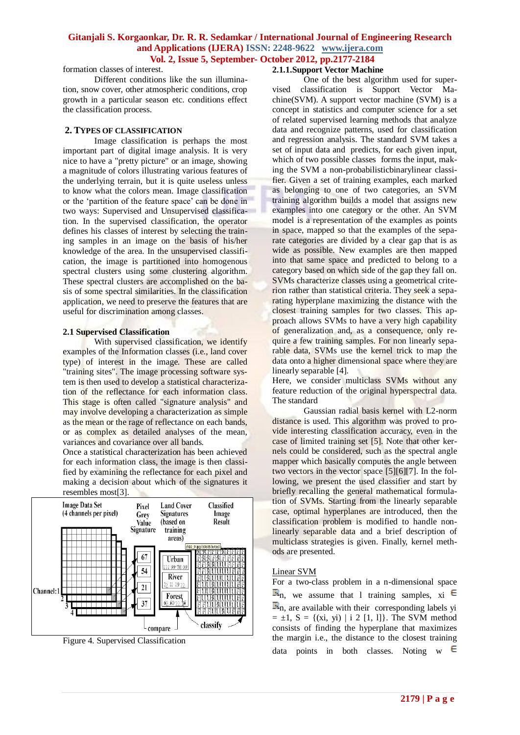formation classes of interest.

Different conditions like the sun illumination, snow cover, other atmospheric conditions, crop growth in a particular season etc. conditions effect the classification process.

#### **2. TYPES OF CLASSIFICATION**

Image classification is perhaps the most important part of digital image analysis. It is very nice to have a "pretty picture" or an image, showing a magnitude of colors illustrating various features of the underlying terrain, but it is quite useless unless to know what the colors mean. Image classification or the 'partition of the feature space' can be done in two ways: Supervised and Unsupervised classification. In the supervised classification, the operator defines his classes of interest by selecting the training samples in an image on the basis of his/her knowledge of the area. In the unsupervised classification, the image is partitioned into homogenous spectral clusters using some clustering algorithm. These spectral clusters are accomplished on the basis of some spectral similarities. In the classification application, we need to preserve the features that are useful for discrimination among classes.

#### **2.1 Supervised Classification**

With supervised classification, we identify examples of the Information classes (i.e., land cover type) of interest in the image. These are called "training sites". The image processing software system is then used to develop a statistical characterization of the reflectance for each information class. This stage is often called "signature analysis" and may involve developing a characterization as simple as the mean or the rage of reflectance on each bands, or as complex as detailed analyses of the mean, variances and covariance over all bands.

Once a statistical characterization has been achieved for each information class, the image is then classified by examining the reflectance for each pixel and making a decision about which of the signatures it resembles most[3].



Figure 4. Supervised Classification

#### **2.1.1.Support Vector Machine**

One of the best algorithm used for supervised classification is Support Vector Machine(SVM). A support vector machine (SVM) is a concept in [statistics](http://en.wikipedia.org/wiki/Statistics) and [computer science](http://en.wikipedia.org/wiki/Computer_science) for a set of related [supervised learning](http://en.wikipedia.org/wiki/Supervised_learning) methods that analyze data and recognize patterns, used for [classification](http://en.wikipedia.org/wiki/Classification_%28machine_learning%29) and [regression analysis.](http://en.wikipedia.org/wiki/Regression_analysis) The standard SVM takes a set of input data and predicts, for each given input, which of two possible classes forms the input, making the SVM a non[-probabilisticbinary](http://en.wikipedia.org/wiki/Probabilistic_logic)[linear classi](http://en.wikipedia.org/wiki/Linear_classifier)[fier.](http://en.wikipedia.org/wiki/Linear_classifier) Given a set of training examples, each marked as belonging to one of two categories, an SVM training algorithm builds a model that assigns new examples into one category or the other. An SVM model is a representation of the examples as points in space, mapped so that the examples of the separate categories are divided by a clear gap that is as wide as possible. New examples are then mapped into that same space and predicted to belong to a category based on which side of the gap they fall on. SVMs characterize classes using a geometrical criterion rather than statistical criteria. They seek a separating hyperplane maximizing the distance with the closest training samples for two classes. This approach allows SVMs to have a very high capability of generalization and, as a consequence, only require a few training samples. For non linearly separable data, SVMs use the kernel trick to map the data onto a higher dimensional space where they are linearly separable [4].

Here, we consider multiclass SVMs without any feature reduction of the original hyperspectral data. The standard

Gaussian radial basis kernel with L2-norm distance is used. This algorithm was proved to provide interesting classification accuracy, even in the case of limited training set [5]. Note that other kernels could be considered, such as the spectral angle mapper which basically computes the angle between two vectors in the vector space [5][6][7]. In the following, we present the used classifier and start by briefly recalling the general mathematical formulation of SVMs. Starting from the linearly separable case, optimal hyperplanes are introduced, then the classification problem is modified to handle nonlinearly separable data and a brief description of multiclass strategies is given. Finally, kernel methods are presented.

#### Linear SVM

For a two-class problem in a n-dimensional space  $\mathbb{R}_n$ , we assume that 1 training samples, xi  $\in$  $\mathbb{R}_n$ , are available with their corresponding labels vi  $= \pm 1$ ,  $S = \{(xi, yi) | i 2 [1, 1]\}$ . The SVM method consists of finding the hyperplane that maximizes the margin i.e., the distance to the closest training data points in both classes. Noting w Е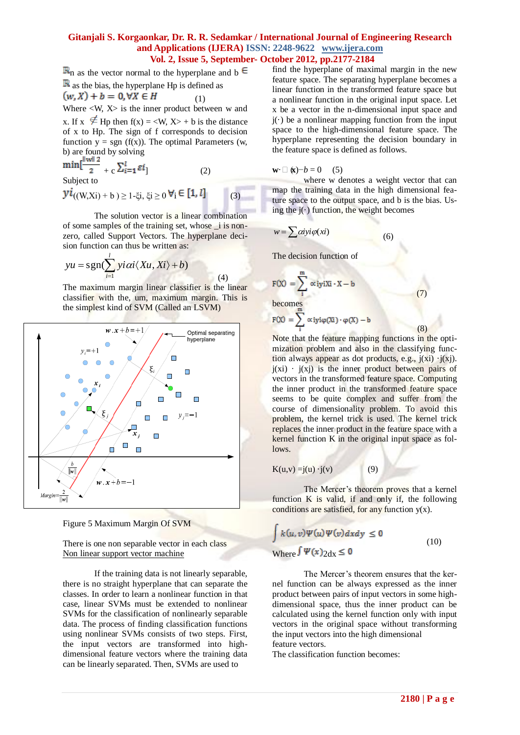$\mathbb{R}_n$  as the vector normal to the hyperplane and b  $\in$  $\mathbb{R}$  as the bias, the hyperplane Hp is defined as

$$
(w, X) + b = 0, \forall X \in H
$$

Where  $\langle W, X \rangle$  is the inner product between w and

 $(1)$ 

x. If  $x \notin$  Hp then  $f(x) = \langle W, X \rangle + b$  is the distance of x to Hp. The sign of f corresponds to decision function  $y = sgn(f(x))$ . The optimal Parameters (w, b) are found by solving

$$
\min[\frac{1 \text{ w1 } 2}{2} + c \sum_{i=1}^{l} \varepsilon i]
$$
\nSubject to

\n
$$
y \mathbf{i}((\mathbf{W}, \mathbf{X} \mathbf{i}) + \mathbf{b}) \ge 1 - \xi \mathbf{i}, \xi \mathbf{i} \ge 0 \,\forall \mathbf{i} \in [1, l]
$$
\n(3)

The solution vector is a linear combination of some samples of the training set, whose \_i is nonzero, called Support Vectors. The hyperplane decision function can thus be written as:

$$
yu = sgn(\sum_{i=1}^{l} yiai\langle Xu, Xi \rangle + b)
$$
\n(4)

The maximum margin linear classifier is the linear classifier with the, um, maximum margin. This is the simplest kind of SVM (Called an LSVM)





There is one non separable vector in each class Non linear support vector machine

If the training data is not linearly separable, there is no straight hyperplane that can separate the classes. In order to learn a nonlinear function in that case, linear SVMs must be extended to nonlinear SVMs for the classification of nonlinearly separable data. The process of finding classification functions using nonlinear SVMs consists of two steps. First, the input vectors are transformed into highdimensional feature vectors where the training data can be linearly separated. Then, SVMs are used to

find the hyperplane of maximal margin in the new feature space. The separating hyperplane becomes a linear function in the transformed feature space but a nonlinear function in the original input space. Let x be a vector in the n-dimensional input space and  $j(.)$  be a nonlinear mapping function from the input space to the high-dimensional feature space. The hyperplane representing the decision boundary in the feature space is defined as follows.

$$
\mathbf{w} \cdot \Box \ (\mathbf{x}) - b = 0 \qquad (5)
$$

where w denotes a weight vector that can map the training data in the high dimensional feature space to the output space, and b is the bias. Using the  $j(.)$  function, the weight becomes

$$
w = \sum \alpha i y i \varphi(xi) \tag{6}
$$

The decision function of

$$
F(X) = \sum_{i=1}^{m} \alpha_{i} \text{y}_{i} X_{i} \cdot X - b
$$
  
becomes  

$$
F(Y) = \sum_{i=1}^{m} \alpha_{i} \text{y}_{i} \alpha_{i} \alpha_{i} (Y_{i}) + \alpha_{i} (Y_{i}) - b
$$

 (8) Note that the feature mapping functions in the optimization problem and also in the classifying function always appear as dot products, e.g.,  $j(x_i) \cdot j(x_j)$ .  $j(xi)$  ·  $j(xj)$  is the inner product between pairs of vectors in the transformed feature space. Computing the inner product in the transformed feature space seems to be quite complex and suffer from the course of dimensionality problem. To avoid this problem, the kernel trick is used. The kernel trick replaces the inner product in the feature space with a kernel function K in the original input space as follows.

$$
K(u, v) = j(u) \cdot j(v) \tag{9}
$$

The Mercer's theorem proves that a kernel function K is valid, if and only if, the following conditions are satisfied, for any function  $y(x)$ .

$$
\int k(u, v)\Psi(u)\Psi(v)dxdy \le 0
$$
  
Where  $\int \Psi(x)_{2dx} \le 0$  (10)

The Mercer's theorem ensures that the kernel function can be always expressed as the inner product between pairs of input vectors in some highdimensional space, thus the inner product can be calculated using the kernel function only with input vectors in the original space without transforming the input vectors into the high dimensional feature vectors.

The classification function becomes: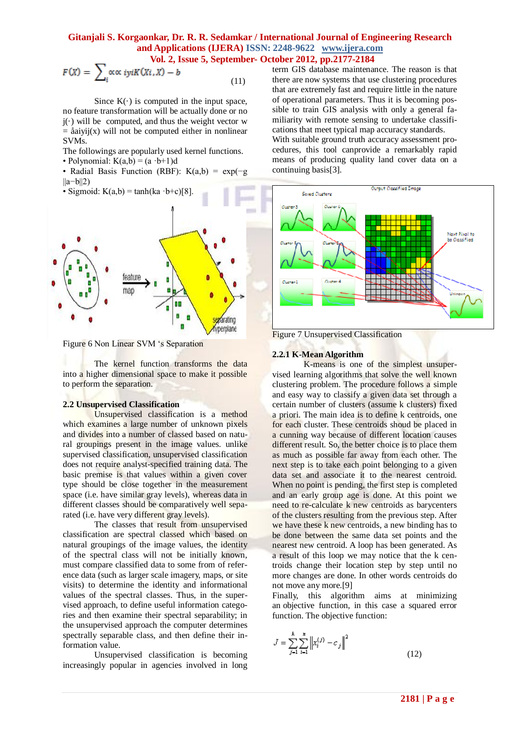$$
F(X) = \sum_{i} \alpha \alpha \, i \, yi \, K(Xi, X) - b \tag{11}
$$

Since  $K(\cdot)$  is computed in the input space, no feature transformation will be actually done or no  $j(\cdot)$  will be computed, and thus the weight vector w  $=$  åaiyij(x) will not be computed either in nonlinear SVMs.

The followings are popularly used kernel functions.

• Polynomial:  $K(a,b) = (a \cdot b+1)d$ 

• Radial Basis Function (RBF): K(a,b) =  $\exp(-g)$ ||a−b||2)

• Sigmoid:  $K(a,b) = \tanh(ka \cdot b+c)[8]$ .



Figure 6 Non Linear SVM ‗s Separation

The kernel function transforms the data into a higher dimensional space to make it possible to perform the separation.

#### **2.2 Unsupervised Classification**

Unsupervised classification is a method which examines a large number of unknown pixels and divides into a number of classed based on natural groupings present in the image values. unlike supervised classification, unsupervised classification does not require analyst-specified training data. The basic premise is that values within a given cover type should be close together in the measurement space (i.e. have similar gray levels), whereas data in different classes should be comparatively well separated (i.e. have very different gray levels).

The classes that result from unsupervised classification are spectral classed which based on natural groupings of the image values, the identity of the spectral class will not be initially known, must compare classified data to some from of reference data (such as larger scale imagery, maps, or site visits) to determine the identity and informational values of the spectral classes. Thus, in the supervised approach, to define useful information categories and then examine their spectral separability; in the unsupervised approach the computer determines spectrally separable class, and then define their information value.

Unsupervised classification is becoming increasingly popular in agencies involved in long term GIS database maintenance. The reason is that there are now systems that use clustering procedures that are extremely fast and require little in the nature of operational parameters. Thus it is becoming possible to train GIS analysis with only a general familiarity with remote sensing to undertake classifications that meet typical map accuracy standards. With suitable ground truth accuracy assessment procedures, this tool canprovide a remarkably rapid means of producing quality land cover data on a continuing basis[3].





#### **2.2.1 K-Mean Algorithm**

K-means is one of the simplest unsupervised learning algorithms that solve the well known clustering problem. The procedure follows a simple and easy way to classify a given data set through a certain number of clusters (assume k clusters) fixed a priori. The main idea is to define k centroids, one for each cluster. These centroids shoud be placed in a cunning way because of different location causes different result. So, the better choice is to place them as much as possible far away from each other. The next step is to take each point belonging to a given data set and associate it to the nearest centroid. When no point is pending, the first step is completed and an early group age is done. At this point we need to re-calculate k new centroids as barycenters of the clusters resulting from the previous step. After we have these k new centroids, a new binding has to be done between the same data set points and the nearest new centroid. A loop has been generated. As a result of this loop we may notice that the k centroids change their location step by step until no more changes are done. In other words centroids do not move any more.[9]

Finally, this algorithm aims at minimizing an objective function, in this case a squared error function. The objective function:

$$
J = \sum_{j=1}^{k} \sum_{i=1}^{n} \left\| x_i^{(j)} - c_j \right\|^2
$$
 (12)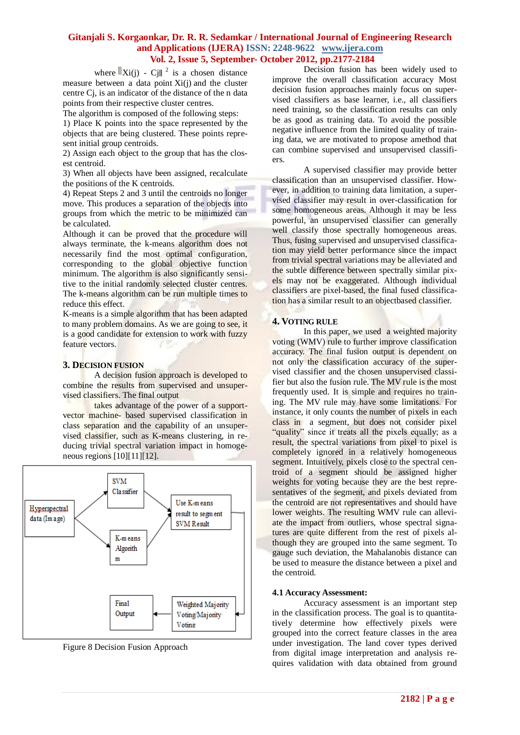where  $\|Xi(j) - Cj\|^2$  is a chosen distance measure between a data point Xi(j) and the cluster centre Cj, is an indicator of the distance of the n data points from their respective cluster centres.

The algorithm is composed of the following steps:

1) Place K points into the space represented by the objects that are being clustered. These points represent initial group centroids.

2) Assign each object to the group that has the closest centroid.

3) When all objects have been assigned, recalculate the positions of the K centroids.

4) Repeat Steps 2 and 3 until the centroids no longer move. This produces a separation of the objects into groups from which the metric to be minimized can be calculated.

Although it can be proved that the procedure will always terminate, the k-means algorithm does not necessarily find the most optimal configuration, corresponding to the global objective function minimum. The algorithm is also significantly sensitive to the initial randomly selected cluster centres. The k-means algorithm can be run multiple times to reduce this effect.

K-means is a simple algorithm that has been adapted to many problem domains. As we are going to see, it is a good candidate for extension to work with fuzzy feature vectors.

#### **3. DECISION FUSION**

A decision fusion approach is developed to combine the results from supervised and unsupervised classifiers. The final output

takes advantage of the power of a supportvector machine- based supervised classification in class separation and the capability of an unsupervised classifier, such as K-means clustering, in reducing trivial spectral variation impact in homogeneous regions [10][11][12].



Figure 8 Decision Fusion Approach

Decision fusion has been widely used to improve the overall classification accuracy Most decision fusion approaches mainly focus on supervised classifiers as base learner, i.e., all classifiers need training, so the classification results can only be as good as training data. To avoid the possible negative influence from the limited quality of training data, we are motivated to propose amethod that can combine supervised and unsupervised classifiers.

A supervised classifier may provide better classification than an unsupervised classifier. However, in addition to training data limitation, a supervised classifier may result in over-classification for some homogeneous areas. Although it may be less powerful, an unsupervised classifier can generally well classify those spectrally homogeneous areas. Thus, fusing supervised and unsupervised classification may yield better performance since the impact from trivial spectral variations may be alleviated and the subtle difference between spectrally similar pixels may not be exaggerated. Although individual classifiers are pixel-based, the final fused classification has a similar result to an objectbased classifier.

#### **4. VOTING RULE**

In this paper, we used a weighted majority voting (WMV) rule to further improve classification accuracy. The final fusion output is dependent on not only the classification accuracy of the supervised classifier and the chosen unsupervised classifier but also the fusion rule. The MV rule is the most frequently used. It is simple and requires no training. The MV rule may have some limitations. For instance, it only counts the number of pixels in each class in a segment, but does not consider pixel "quality" since it treats all the pixels equally; as a result, the spectral variations from pixel to pixel is completely ignored in a relatively homogeneous segment. Intuitively, pixels close to the spectral centroid of a segment should be assigned higher weights for voting because they are the best representatives of the segment, and pixels deviated from the centroid are not representatives and should have lower weights. The resulting WMV rule can alleviate the impact from outliers, whose spectral signatures are quite different from the rest of pixels although they are grouped into the same segment. To gauge such deviation, the Mahalanobis distance can be used to measure the distance between a pixel and the centroid.

#### **4.1 Accuracy Assessment:**

Accuracy assessment is an important step in the classification process. The goal is to quantitatively determine how effectively pixels were grouped into the correct feature classes in the area under investigation. The land cover types derived from digital image interpretation and analysis requires validation with data obtained from ground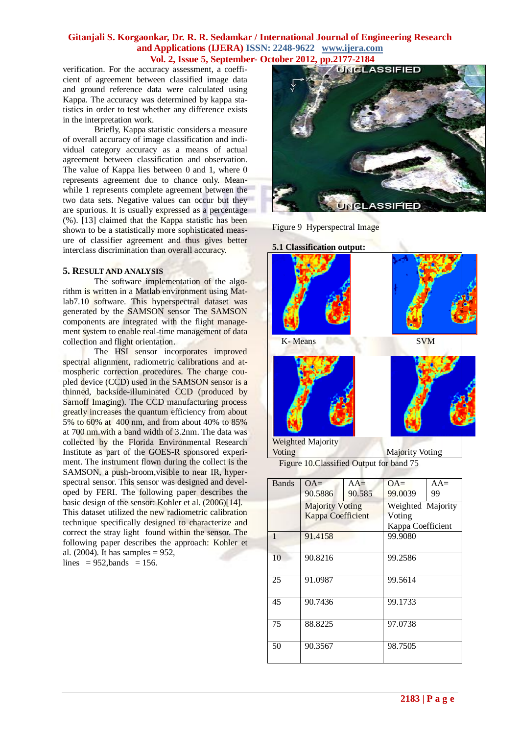verification. For the accuracy assessment, a coefficient of agreement between classified image data and ground reference data were calculated using Kappa. The accuracy was determined by kappa statistics in order to test whether any difference exists in the interpretation work.

Briefly, Kappa statistic considers a measure of overall accuracy of image classification and individual category accuracy as a means of actual agreement between classification and observation. The value of Kappa lies between 0 and 1, where 0 represents agreement due to chance only. Meanwhile 1 represents complete agreement between the two data sets. Negative values can occur but they are spurious. It is usually expressed as a percentage (%). [13] claimed that the Kappa statistic has been shown to be a statistically more sophisticated measure of classifier agreement and thus gives better interclass discrimination than overall accuracy.

#### **5. RESULT AND ANALYSIS**

The software implementation of the algorithm is written in a Matlab environment using Matlab7.10 software. This hyperspectral dataset was generated by the SAMSON sensor The SAMSON components are integrated with the flight management system to enable real-time management of data collection and flight orientation.

The HSI sensor incorporates improved spectral alignment, radiometric calibrations and atmospheric correction procedures. The charge coupled device (CCD) used in the SAMSON sensor is a thinned, backside-illuminated CCD (produced by Sarnoff Imaging). The CCD manufacturing process greatly increases the quantum efficiency from about 5% to 60% at 400 nm, and from about 40% to 85% at 700 nm.with a band width of 3.2nm. The data was collected by the [Florida Environmental Research](http://www.feriweb.org/)  [Institute](http://www.feriweb.org/) as part of the GOES-R sponsored [experi](https://osd.goes.noaa.gov/)[ment.](https://osd.goes.noaa.gov/) The instrument flown during the collect is the SAMSON, a push-broom,visible to near IR, hyperspectral sensor. This sensor was designed and developed by FERI. The following paper describes the basic design of the sensor: [Kohler et al. \(2006\)\[](http://www.feriweb.org/pubs/223.pdf/)14]. This dataset utilized the new radiometric calibration technique specifically designed to characterize and correct the stray light found within the sensor. The following paper describes the approach: [Kohler et](http://www.opticsinfobase.org/abstract.cfm?URI=oe-12-11-2463/)  [al. \(2004\).](http://www.opticsinfobase.org/abstract.cfm?URI=oe-12-11-2463/) It has samples  $= 952$ , lines  $= 952$ , bands  $= 156$ .



Figure 9 Hyperspectral Image



Figure 10.Classified Output for band 75

| <b>Bands</b> | $OA=$<br>90.5886                            | $AA =$<br>90.585 | $OA=$<br>99,0039                                 | $AA=$<br>99 |
|--------------|---------------------------------------------|------------------|--------------------------------------------------|-------------|
|              | <b>Majority Voting</b><br>Kappa Coefficient |                  | Weighted Majority<br>Voting<br>Kappa Coefficient |             |
| $\mathbf{1}$ | 91.4158                                     |                  | 99.9080                                          |             |
| 10           | 90.8216                                     |                  | 99.2586                                          |             |
| 25           | 91.0987                                     |                  | 99.5614                                          |             |
| 45           | 90.7436                                     |                  | 99.1733                                          |             |
| 75           | 88.8225                                     |                  | 97.0738                                          |             |
| 50           | 90.3567                                     |                  | 98.7505                                          |             |